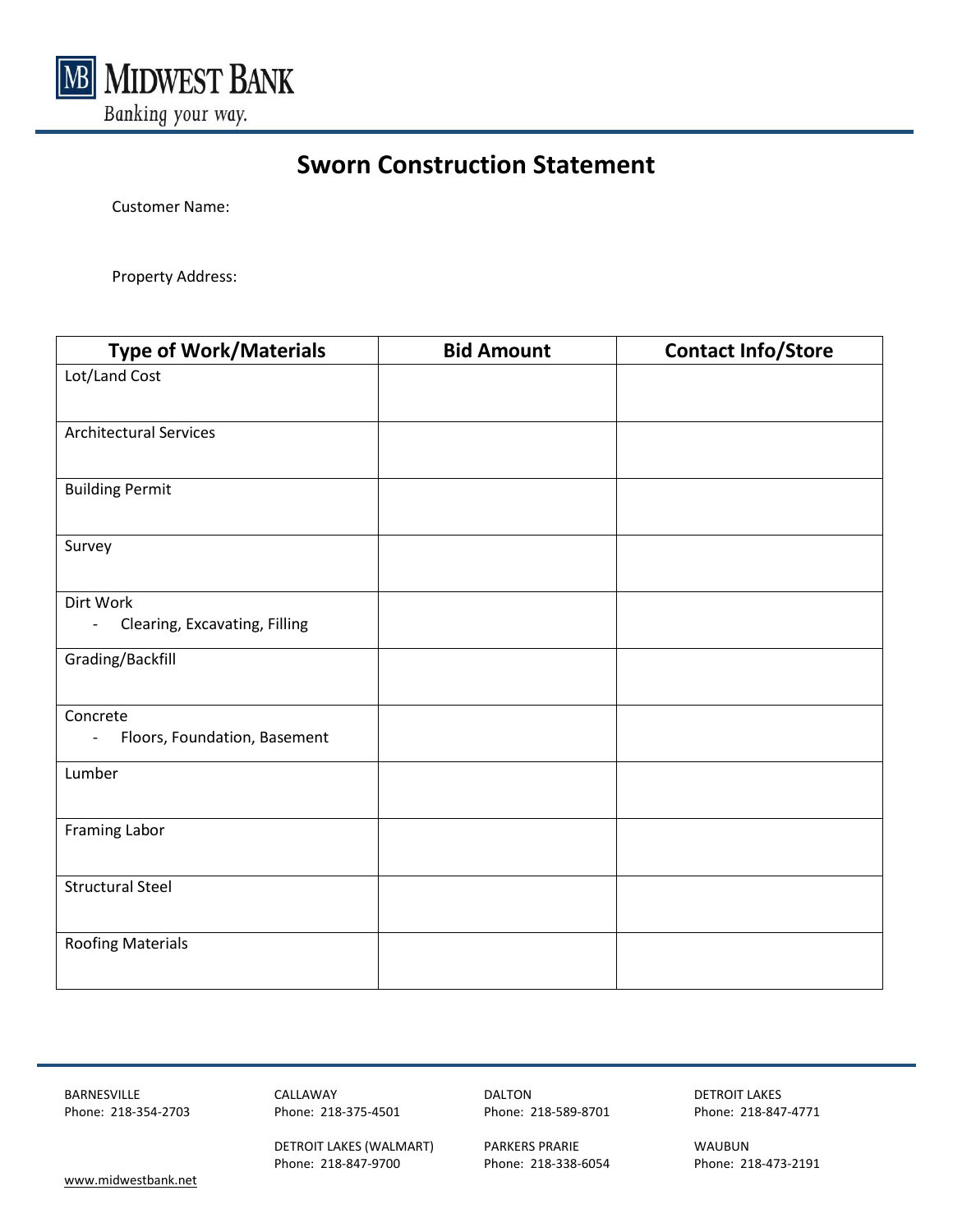

## **Sworn Construction Statement**

Customer Name:

Property Address:

| <b>Type of Work/Materials</b>                                        | <b>Bid Amount</b> | <b>Contact Info/Store</b> |
|----------------------------------------------------------------------|-------------------|---------------------------|
| Lot/Land Cost                                                        |                   |                           |
| <b>Architectural Services</b>                                        |                   |                           |
| <b>Building Permit</b>                                               |                   |                           |
| Survey                                                               |                   |                           |
| Dirt Work                                                            |                   |                           |
| Clearing, Excavating, Filling<br>$\overline{\phantom{a}}$            |                   |                           |
| Grading/Backfill                                                     |                   |                           |
| Concrete<br>Floors, Foundation, Basement<br>$\overline{\phantom{a}}$ |                   |                           |
| Lumber                                                               |                   |                           |
| <b>Framing Labor</b>                                                 |                   |                           |
| <b>Structural Steel</b>                                              |                   |                           |
| <b>Roofing Materials</b>                                             |                   |                           |

BARNESVILLE CALLAWAY DALTON DETROIT LAKES

DETROIT LAKES (WALMART) PARKERS PRARIE WAUBUN Phone: 218-8473-2191<br>Phone: 218-847-9700 Phone: 218-338-6054 Phone: 218-473-2191

Phone: 218-354-2703 Phone: 218-375-4501 Phone: 218-589-8701 Phone: 218-847-4771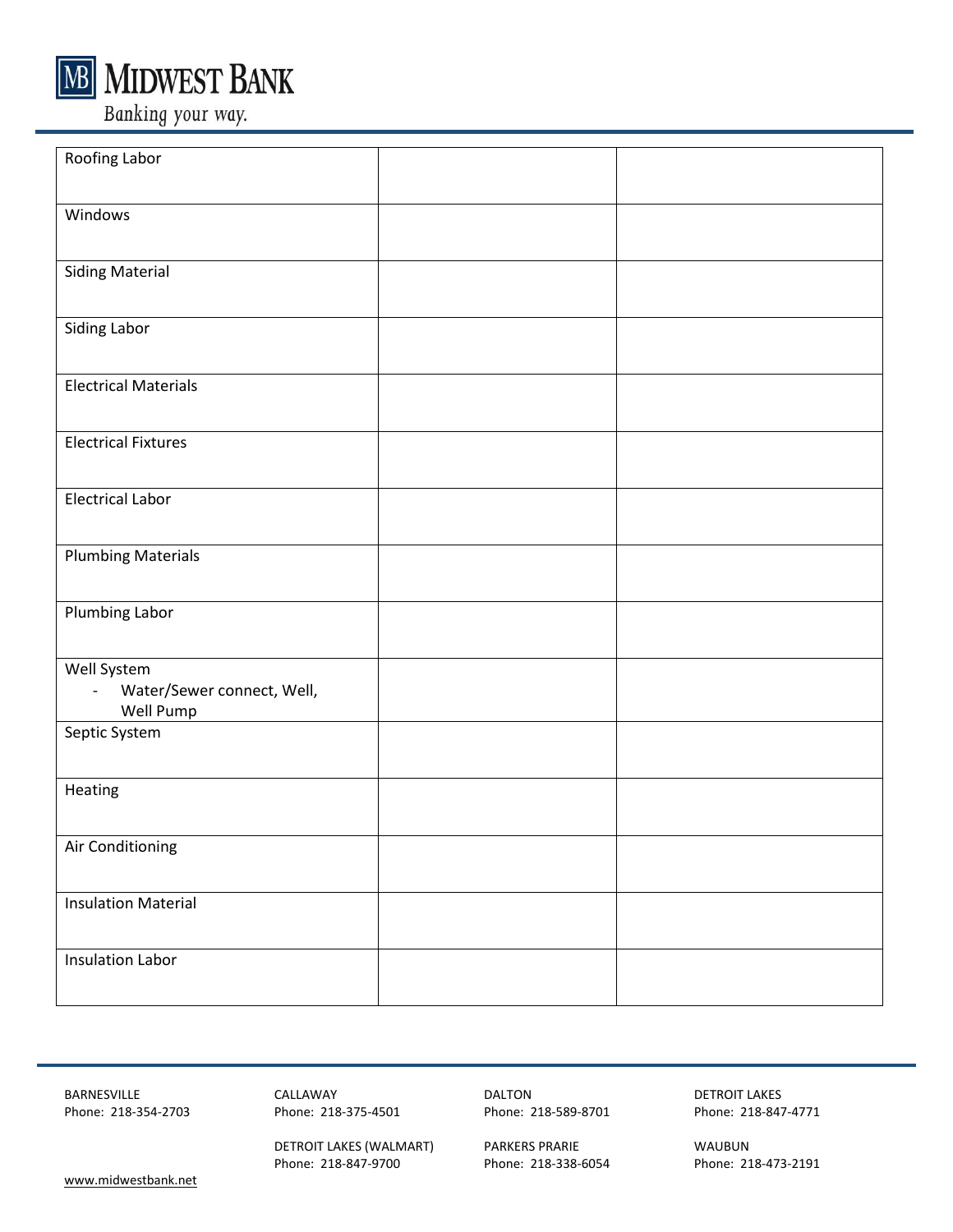

Banking your way.

| Roofing Labor                                                            |  |
|--------------------------------------------------------------------------|--|
| Windows                                                                  |  |
| <b>Siding Material</b>                                                   |  |
| Siding Labor                                                             |  |
| <b>Electrical Materials</b>                                              |  |
| <b>Electrical Fixtures</b>                                               |  |
| <b>Electrical Labor</b>                                                  |  |
| <b>Plumbing Materials</b>                                                |  |
| Plumbing Labor                                                           |  |
| Well System<br>Water/Sewer connect, Well,<br>$\blacksquare$<br>Well Pump |  |
| Septic System                                                            |  |
| Heating                                                                  |  |
| Air Conditioning                                                         |  |
| <b>Insulation Material</b>                                               |  |
| <b>Insulation Labor</b>                                                  |  |

BARNESVILLE CALLAWAY DALTON DETROIT LAKES

DETROIT LAKES (WALMART) PARKERS PRARIE WAUBUN Phone: 218-847-9700 Phone: 218-338-6054 Phone: 218-473-2191

Phone: 218-375-4501 Phone: 218-589-8701 Phone: 218-847-4771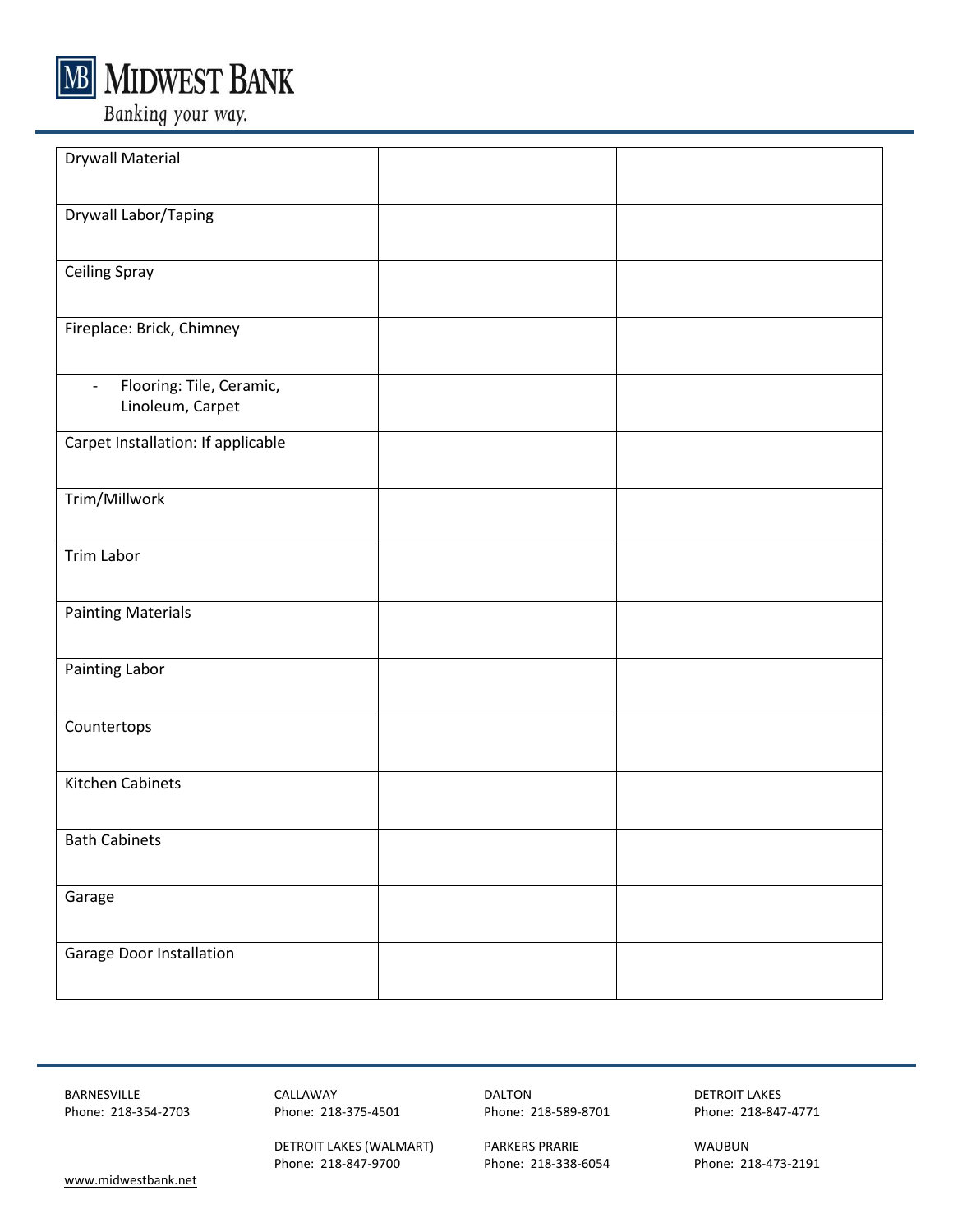

**MIDWEST BANK** 

Banking your way.

| <b>Drywall Material</b>                                                  |  |
|--------------------------------------------------------------------------|--|
| Drywall Labor/Taping                                                     |  |
| <b>Ceiling Spray</b>                                                     |  |
| Fireplace: Brick, Chimney                                                |  |
| Flooring: Tile, Ceramic,<br>$\overline{\phantom{a}}$<br>Linoleum, Carpet |  |
| Carpet Installation: If applicable                                       |  |
| Trim/Millwork                                                            |  |
| Trim Labor                                                               |  |
| <b>Painting Materials</b>                                                |  |
| Painting Labor                                                           |  |
| Countertops                                                              |  |
| Kitchen Cabinets                                                         |  |
| <b>Bath Cabinets</b>                                                     |  |
| Garage                                                                   |  |
| Garage Door Installation                                                 |  |

BARNESVILLE CALLAWAY DALTON DETROIT LAKES

DETROIT LAKES (WALMART) PARKERS PRARIE WAUBUN Phone: 218-847-9700 Phone: 218-338-6054 Phone: 218-473-2191

Phone: 218-375-4501 Phone: 218-589-8701 Phone: 218-847-4771